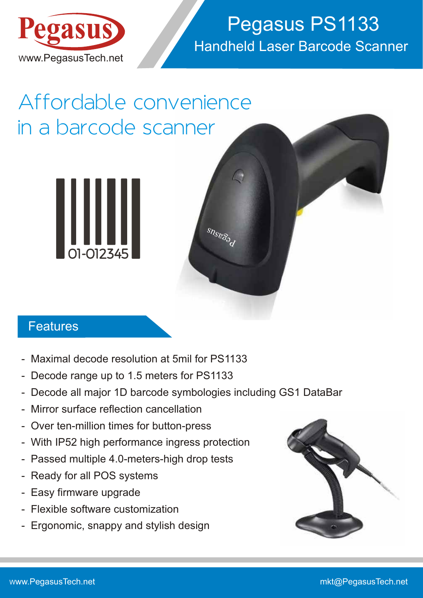

## Handheld Laser Barcode Scanner Pegasus PS1133

# Affordable convenience in a barcode scanner



#### **Features**

- Maximal decode resolution at 5mil for PS1133
- Decode range up to 1.5 meters for PS1133
- Decode all major 1D barcode symbologies including GS1 DataBar

 ${}^{\mathcal{S}\hspace{-.1em}\mathcal{R}\hspace{-.1em}\mathcal{R}}\hspace{-.1em}\mathcal{S}\hspace{-.1em}\mathcal{S}\hspace{-.1em}\mathcal{S}\hspace{-.1em}\mathcal{S}\hspace{-.1em}\mathcal{S}\hspace{-.1em}\mathcal{S}'\hspace{-.1em}\mathcal{S}'\hspace{-.1em}\mathcal{S}'\hspace{-.1em}\mathcal{S}'\hspace{-.1em}\mathcal{S}'\hspace{-.1em}\mathcal{S}\hspace{-.1em}\mathcal{S}'\hspace{-.1em}\mathcal{S}'\hspace{-.1em}\mathcal{S}'\hspace{-.1em}\mathcal{S}'$ 

- Mirror surface reflection cancellation
- Over ten-million times for button-press
- With IP52 high performance ingress protection
- Passed multiple 4.0-meters-high drop tests
- Ready for all POS systems
- Easy firmware upgrade
- Flexible software customization
- Ergonomic, snappy and stylish design